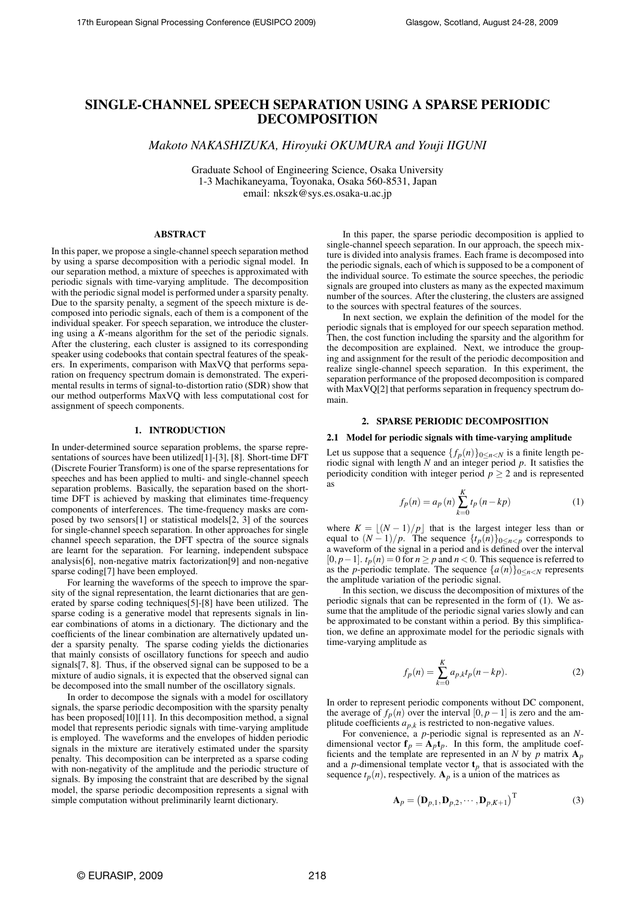# SINGLE-CHANNEL SPEECH SEPARATION USING A SPARSE PERIODIC DECOMPOSITION

*Makoto NAKASHIZUKA, Hiroyuki OKUMURA and Youji IIGUNI*

Graduate School of Engineering Science, Osaka University 1-3 Machikaneyama, Toyonaka, Osaka 560-8531, Japan email: nkszk@sys.es.osaka-u.ac.jp

## ABSTRACT

In this paper, we propose a single-channel speech separation method by using a sparse decomposition with a periodic signal model. In our separation method, a mixture of speeches is approximated with periodic signals with time-varying amplitude. The decomposition with the periodic signal model is performed under a sparsity penalty. Due to the sparsity penalty, a segment of the speech mixture is decomposed into periodic signals, each of them is a component of the individual speaker. For speech separation, we introduce the clustering using a *K*-means algorithm for the set of the periodic signals. After the clustering, each cluster is assigned to its corresponding speaker using codebooks that contain spectral features of the speakers. In experiments, comparison with MaxVQ that performs separation on frequency spectrum domain is demonstrated. The experimental results in terms of signal-to-distortion ratio (SDR) show that our method outperforms MaxVQ with less computational cost for assignment of speech components.

### 1. INTRODUCTION

In under-determined source separation problems, the sparse representations of sources have been utilized[1]-[3], [8]. Short-time DFT (Discrete Fourier Transform) is one of the sparse representations for speeches and has been applied to multi- and single-channel speech separation problems. Basically, the separation based on the shorttime DFT is achieved by masking that eliminates time-frequency components of interferences. The time-frequency masks are composed by two sensors[1] or statistical models[2, 3] of the sources for single-channel speech separation. In other approaches for single channel speech separation, the DFT spectra of the source signals are learnt for the separation. For learning, independent subspace analysis[6], non-negative matrix factorization[9] and non-negative sparse coding[7] have been employed.

For learning the waveforms of the speech to improve the sparsity of the signal representation, the learnt dictionaries that are generated by sparse coding techniques[5]-[8] have been utilized. The sparse coding is a generative model that represents signals in linear combinations of atoms in a dictionary. The dictionary and the coefficients of the linear combination are alternatively updated under a sparsity penalty. The sparse coding yields the dictionaries that mainly consists of oscillatory functions for speech and audio signals[7, 8]. Thus, if the observed signal can be supposed to be a mixture of audio signals, it is expected that the observed signal can be decomposed into the small number of the oscillatory signals.

In order to decompose the signals with a model for oscillatory signals, the sparse periodic decomposition with the sparsity penalty has been proposed<sup>[10][11]</sup>. In this decomposition method, a signal model that represents periodic signals with time-varying amplitude is employed. The waveforms and the envelopes of hidden periodic signals in the mixture are iteratively estimated under the sparsity penalty. This decomposition can be interpreted as a sparse coding with non-negativity of the amplitude and the periodic structure of signals. By imposing the constraint that are described by the signal model, the sparse periodic decomposition represents a signal with simple computation without preliminarily learnt dictionary.

In this paper, the sparse periodic decomposition is applied to single-channel speech separation. In our approach, the speech mixture is divided into analysis frames. Each frame is decomposed into the periodic signals, each of which is supposed to be a component of the individual source. To estimate the source speeches, the periodic signals are grouped into clusters as many as the expected maximum number of the sources. After the clustering, the clusters are assigned to the sources with spectral features of the sources.

In next section, we explain the definition of the model for the periodic signals that is employed for our speech separation method. Then, the cost function including the sparsity and the algorithm for the decomposition are explained. Next, we introduce the grouping and assignment for the result of the periodic decomposition and realize single-channel speech separation. In this experiment, the separation performance of the proposed decomposition is compared with MaxVQ[2] that performs separation in frequency spectrum domain.

### 2. SPARSE PERIODIC DECOMPOSITION

## 2.1 Model for periodic signals with time-varying amplitude

Let us suppose that a sequence  $\{f_p(n)\}_{0 \le n \le N}$  is a finite length periodic signal with length *N* and an integer period *p*. It satisfies the periodicity condition with integer period  $p \geq 2$  and is represented as

$$
f_p(n) = a_p(n) \sum_{k=0}^{K} t_p(n - kp)
$$
 (1)

where  $K = \lfloor (N - 1)/p \rfloor$  that is the largest integer less than or equal to  $(N-1)/p$ . The sequence  $\{t_p(n)\}_{0 \leq n \leq p}$  corresponds to a waveform of the signal in a period and is defined over the interval  $[0, p-1]$ .  $t_p(n) = 0$  for  $n \geq p$  and  $n < 0$ . This sequence is referred to as the *p*-periodic template. The sequence  $\{a(n)\}_{0 \leq n < N}$  represents the amplitude variation of the periodic signal.

In this section, we discuss the decomposition of mixtures of the periodic signals that can be represented in the form of (1). We assume that the amplitude of the periodic signal varies slowly and can be approximated to be constant within a period. By this simplification, we define an approximate model for the periodic signals with time-varying amplitude as

$$
f_p(n) = \sum_{k=0}^{K} a_{p,k} t_p(n - kp).
$$
 (2)

In order to represent periodic components without DC component, the average of  $f_p(n)$  over the interval  $[0, p-1]$  is zero and the amplitude coefficients  $a_{p,k}$  is restricted to non-negative values.

For convenience, a *p*-periodic signal is represented as an *N*dimensional vector  $f_p = A_p t_p$ . In this form, the amplitude coefficients and the template are represented in an *N* by *p* matrix  $A_p$ and a *p*-dimensional template vector  $t_p$  that is associated with the sequence  $t_p(n)$ , respectively.  $A_p$  is a union of the matrices as

$$
\mathbf{A}_p = \left(\mathbf{D}_{p,1}, \mathbf{D}_{p,2}, \cdots, \mathbf{D}_{p,K+1}\right)^{\mathrm{T}}
$$
 (3)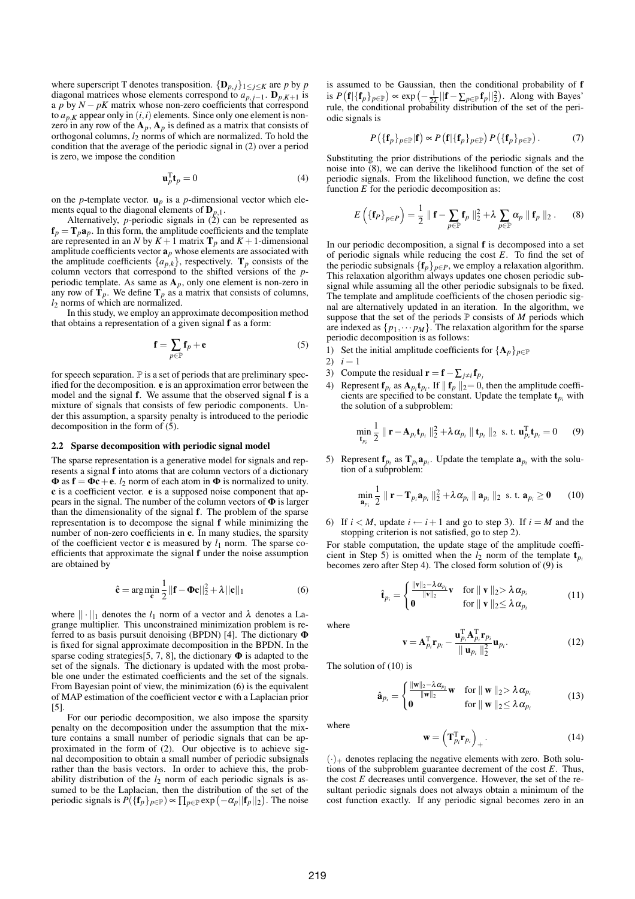where superscript T denotes transposition.  ${\{\mathbf{D}_{p,j}\}}_{1 \leq j \leq K}$  are *p* by *p* diagonal matrices whose elements correspond to  $a_{p,i-1}$ .  $\mathbf{D}_{p,K+1}$  is a *p* by  $N - pK$  matrix whose non-zero coefficients that correspond to  $a_{p,K}$  appear only in  $(i,i)$  elements. Since only one element is nonzero in any row of the  $A_p$ ,  $A_p$  is defined as a matrix that consists of orthogonal columns, *l*<sup>2</sup> norms of which are normalized. To hold the condition that the average of the periodic signal in (2) over a period is zero, we impose the condition

$$
\mathbf{u}_p^{\mathrm{T}} \mathbf{t}_p = 0 \tag{4}
$$

on the *p*-template vector.  $\mathbf{u}_p$  is a *p*-dimensional vector which elements equal to the diagonal elements of D*p,*1.

Alternatively, *p*-periodic signals in  $(2)$  can be represented as  $f_p = T_p a_p$ . In this form, the amplitude coefficients and the template are represented in an *N* by  $K + 1$  matrix  $\mathbf{T}_p$  and  $K + 1$ -dimensional amplitude coefficients vector  $\mathbf{a}_p$  whose elements are associated with the amplitude coefficients  $\{a_{p,k}\}\$ , respectively.  $\mathbf{T}_p$  consists of the column vectors that correspond to the shifted versions of the *p*periodic template. As same as  $A_p$ , only one element is non-zero in any row of  $\mathbf{T}_p$ . We define  $\mathbf{T}_p$  as a matrix that consists of columns, *l*<sub>2</sub> norms of which are normalized.

In this study, we employ an approximate decomposition method that obtains a representation of a given signal f as a form:

$$
\mathbf{f} = \sum_{p \in \mathbb{P}} \mathbf{f}_p + \mathbf{e} \tag{5}
$$

for speech separation.  $\mathbb P$  is a set of periods that are preliminary specified for the decomposition. e is an approximation error between the model and the signal f. We assume that the observed signal f is a mixture of signals that consists of few periodic components. Under this assumption, a sparsity penalty is introduced to the periodic decomposition in the form of  $(5)$ .

#### 2.2 Sparse decomposition with periodic signal model

The sparse representation is a generative model for signals and represents a signal f into atoms that are column vectors of a dictionary  $\Phi$  as  $\mathbf{f} = \Phi \mathbf{c} + \mathbf{e}$ . *l*<sub>2</sub> norm of each atom in  $\Phi$  is normalized to unity. c is a coefficient vector. e is a supposed noise component that appears in the signal. The number of the column vectors of  $\Phi$  is larger than the dimensionality of the signal f. The problem of the sparse representation is to decompose the signal f while minimizing the number of non-zero coefficients in c. In many studies, the sparsity of the coefficient vector  $\mathbf c$  is measured by  $l_1$  norm. The sparse coefficients that approximate the signal f under the noise assumption are obtained by

$$
\hat{\mathbf{c}} = \arg\min_{\mathbf{c}} \frac{1}{2} ||\mathbf{f} - \mathbf{\Phi}\mathbf{c}||_2^2 + \lambda ||\mathbf{c}||_1
$$
 (6)

where  $|| \cdot ||_1$  denotes the  $l_1$  norm of a vector and  $\lambda$  denotes a Lagrange multiplier. This unconstrained minimization problem is referred to as basis pursuit denoising (BPDN) [4]. The dictionary Φ is fixed for signal approximate decomposition in the BPDN. In the sparse coding strategies [5, 7, 8], the dictionary  $\Phi$  is adapted to the set of the signals. The dictionary is updated with the most probable one under the estimated coefficients and the set of the signals. From Bayesian point of view, the minimization (6) is the equivalent of MAP estimation of the coefficient vector c with a Laplacian prior [5].

For our periodic decomposition, we also impose the sparsity penalty on the decomposition under the assumption that the mixture contains a small number of periodic signals that can be approximated in the form of (2). Our objective is to achieve signal decomposition to obtain a small number of periodic subsignals rather than the basis vectors. In order to achieve this, the probability distribution of the *l*<sup>2</sup> norm of each periodic signals is assumed to be the Laplacian, then the distribution of the set of the periodic signals is  $P({{\{\mathbf{f}_p\}}_{p \in \mathbb{P}}}) \propto \prod_{p \in \mathbb{P}} exp(-\alpha_p ||{\mathbf{f}_p}||_2)$ . The noise

is assumed to be Gaussian, then the conditional probability of f is  $P(\mathbf{f}|\{\mathbf{f}_p\}_{p\in\mathbb{P}}) \propto \exp\left(-\frac{1}{2\lambda}||\mathbf{f}-\sum_{p\in\mathbb{P}}\mathbf{f}_p||_2^2\right)$ . Along with Bayes' rule, the conditional probability distribution of the set of the periodic signals is

$$
P\left(\{\mathbf{f}_p\}_{p\in\mathbb{P}}|\mathbf{f}\right) \propto P\left(\mathbf{f}|\{\mathbf{f}_p\}_{p\in\mathbb{P}}\right)P\left(\{\mathbf{f}_p\}_{p\in\mathbb{P}}\right). \tag{7}
$$

Substituting the prior distributions of the periodic signals and the noise into (8), we can derive the likelihood function of the set of periodic signals. From the likelihood function, we define the cost function *E* for the periodic decomposition as:

$$
E\left(\left\{\mathbf{f}_P\right\}_{P\in P}\right) = \frac{1}{2} \parallel \mathbf{f} - \sum_{p\in \mathbb{P}} \mathbf{f}_p \parallel_2^2 + \lambda \sum_{p\in \mathbb{P}} \alpha_p \parallel \mathbf{f}_p \parallel_2. \tag{8}
$$

In our periodic decomposition, a signal f is decomposed into a set of periodic signals while reducing the cost *E*. To find the set of the periodic subsignals  ${f_p}_{p \in P}$ , we employ a relaxation algorithm. This relaxation algorithm always updates one chosen periodic subsignal while assuming all the other periodic subsignals to be fixed. The template and amplitude coefficients of the chosen periodic signal are alternatively updated in an iteration. In the algorithm, we suppose that the set of the periods  $P$  consists of  $M$  periods which are indexed as  $\{p_1, \cdots p_M\}$ . The relaxation algorithm for the sparse periodic decomposition is as follows:

- 1) Set the initial amplitude coefficients for  ${A_p}_{p \in P}$
- 2)  $i = 1$
- 3) Compute the residual  $\mathbf{r} = \mathbf{f} \sum_{j \neq i} \mathbf{f}_{p_j}$
- 4) Represent  $f_{p_i}$  as  $A_{p_i}t_{p_i}$ . If  $|| f_p ||_2 = 0$ , then the amplitude coefficients are specified to be constant. Update the template  $t_{p_i}$  with the solution of a subproblem:

$$
\min_{\mathbf{t}_{p_i}} \frac{1}{2} \parallel \mathbf{r} - \mathbf{A}_{p_i} \mathbf{t}_{p_i} \parallel_2^2 + \lambda \alpha_{p_i} \parallel \mathbf{t}_{p_i} \parallel_2 \text{ s. t. } \mathbf{u}_{p_i}^{\mathrm{T}} \mathbf{t}_{p_i} = 0 \qquad (9)
$$

5) Represent  $f_{p_i}$  as  $T_{p_i}a_{p_i}$ . Update the template  $a_{p_i}$  with the solution of a subproblem:

$$
\min_{\mathbf{a}_{p_i}} \frac{1}{2} \parallel \mathbf{r} - \mathbf{T}_{p_i} \mathbf{a}_{p_i} \parallel_2^2 + \lambda \alpha_{p_i} \parallel \mathbf{a}_{p_i} \parallel_2 \text{ s. t. } \mathbf{a}_{p_i} \ge \mathbf{0} \qquad (10)
$$

6) If  $i < M$ , update  $i \leftarrow i+1$  and go to step 3). If  $i = M$  and the stopping criterion is not satisfied, go to step 2).

For stable computation, the update stage of the amplitude coefficient in Step 5) is omitted when the  $l_2$  norm of the template  $t_{p_i}$ becomes zero after Step 4). The closed form solution of (9) is

$$
\hat{\mathbf{t}}_{p_i} = \begin{cases}\n\frac{\|\mathbf{v}\|_2 - \lambda \alpha_{p_i}}{\|\mathbf{v}\|_2} \mathbf{v} & \text{for } \|\mathbf{v}\|_2 > \lambda \alpha_{p_i} \\
\mathbf{0} & \text{for } \|\mathbf{v}\|_2 \le \lambda \alpha_{p_i}\n\end{cases}
$$
\n(11)

where

$$
\mathbf{v} = \mathbf{A}_{p_i}^{\mathrm{T}} \mathbf{r}_{p_i} - \frac{\mathbf{u}_{p_i}^{\mathrm{T}} \mathbf{A}_{p_i}^{\mathrm{T}} \mathbf{r}_{p_i}}{\Vert \mathbf{u}_{p_i} \Vert_2^2} \mathbf{u}_{p_i}.
$$
 (12)

The solution of (10) is

$$
\hat{\mathbf{a}}_{p_i} = \begin{cases} \frac{\|\mathbf{w}\|_2 - \lambda \alpha_{p_i}}{\|\mathbf{w}\|_2} \mathbf{w} & \text{for } \|\mathbf{w}\|_2 > \lambda \alpha_{p_i} \\ \mathbf{0} & \text{for } \|\mathbf{w}\|_2 \le \lambda \alpha_{p_i} \end{cases}
$$
(13)

where

$$
\mathbf{w} = \left(\mathbf{T}_{p_i}^{\mathrm{T}} \mathbf{r}_{p_i}\right)_+ \tag{14}
$$

 $(\cdot)_+$  denotes replacing the negative elements with zero. Both solutions of the subproblem guarantee decrement of the cost *E*. Thus, the cost *E* decreases until convergence. However, the set of the resultant periodic signals does not always obtain a minimum of the cost function exactly. If any periodic signal becomes zero in an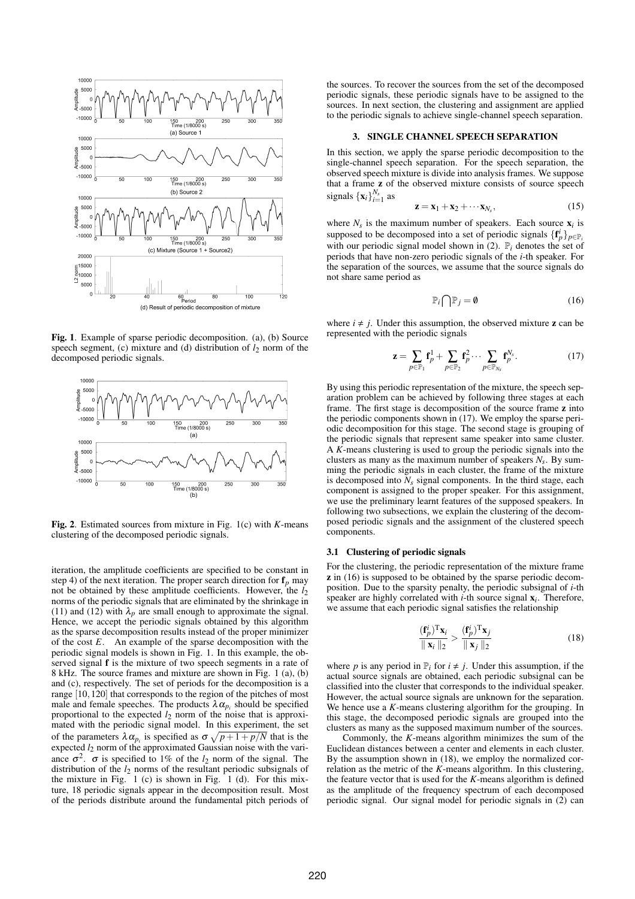

Fig. 1. Example of sparse periodic decomposition. (a), (b) Source speech segment, (c) mixture and (d) distribution of  $l_2$  norm of the decomposed periodic signals.



Fig. 2. Estimated sources from mixture in Fig. 1(c) with *K*-means clustering of the decomposed periodic signals.

iteration, the amplitude coefficients are specified to be constant in step 4) of the next iteration. The proper search direction for  $f_p$  may not be obtained by these amplitude coefficients. However, the  $l_2$ norms of the periodic signals that are eliminated by the shrinkage in (11) and (12) with  $\lambda_p$  are small enough to approximate the signal. Hence, we accept the periodic signals obtained by this algorithm as the sparse decomposition results instead of the proper minimizer of the cost *E*. An example of the sparse decomposition with the periodic signal models is shown in Fig. 1. In this example, the observed signal f is the mixture of two speech segments in a rate of 8 kHz. The source frames and mixture are shown in Fig. 1 (a), (b) and (c), respectively. The set of periods for the decomposition is a range [10*,*120] that corresponds to the region of the pitches of most male and female speeches. The products  $\lambda \alpha_{p_i}$  should be specified proportional to the expected  $l_2$  norm of the noise that is approximated with the periodic signal model. In this experiment, the set of the parameters  $\lambda \alpha_{p_i}$  is specified as  $\sigma \sqrt{p+1+p/N}$  that is the expected *l*<sup>2</sup> norm of the approximated Gaussian noise with the variance  $\sigma^2$ .  $\sigma$  is specified to 1% of the *l*<sub>2</sub> norm of the signal. The distribution of the  $l_2$  norms of the resultant periodic subsignals of the mixture in Fig. 1 (c) is shown in Fig. 1 (d). For this mixture, 18 periodic signals appear in the decomposition result. Most of the periods distribute around the fundamental pitch periods of the sources. To recover the sources from the set of the decomposed periodic signals, these periodic signals have to be assigned to the sources. In next section, the clustering and assignment are applied to the periodic signals to achieve single-channel speech separation.

#### 3. SINGLE CHANNEL SPEECH SEPARATION

In this section, we apply the sparse periodic decomposition to the single-channel speech separation. For the speech separation, the observed speech mixture is divide into analysis frames. We suppose that a frame z of the observed mixture consists of source speech signals  $\{\mathbf{x}_i\}_{i=1}^{N_s}$  as

$$
\mathbf{z} = \mathbf{x}_1 + \mathbf{x}_2 + \cdots \mathbf{x}_{N_s},\tag{15}
$$

where  $N_s$  is the maximum number of speakers. Each source  $\mathbf{x}_i$  is supposed to be decomposed into a set of periodic signals  $\{f_p^i\}_{p \in P_i}$ with our periodic signal model shown in  $(2)$ .  $\mathbb{P}_i$  denotes the set of periods that have non-zero periodic signals of the *i*-th speaker. For the separation of the sources, we assume that the source signals do not share same period as

$$
\mathbb{P}_i \bigcap \mathbb{P}_j = \emptyset \tag{16}
$$

where  $i \neq j$ . Under this assumption, the observed mixture z can be represented with the periodic signals

$$
\mathbf{z} = \sum_{p \in \mathbb{P}_1} \mathbf{f}_p^1 + \sum_{p \in \mathbb{P}_2} \mathbf{f}_p^2 \cdots \sum_{p \in \mathbb{P}_{N_s}} \mathbf{f}_p^{N_s}.
$$
 (17)

By using this periodic representation of the mixture, the speech separation problem can be achieved by following three stages at each frame. The first stage is decomposition of the source frame z into the periodic components shown in (17). We employ the sparse periodic decomposition for this stage. The second stage is grouping of the periodic signals that represent same speaker into same cluster. A *K*-means clustering is used to group the periodic signals into the clusters as many as the maximum number of speakers *Ns*. By summing the periodic signals in each cluster, the frame of the mixture is decomposed into  $N_s$  signal components. In the third stage, each component is assigned to the proper speaker. For this assignment, we use the preliminary learnt features of the supposed speakers. In following two subsections, we explain the clustering of the decomposed periodic signals and the assignment of the clustered speech components.

#### 3.1 Clustering of periodic signals

For the clustering, the periodic representation of the mixture frame z in (16) is supposed to be obtained by the sparse periodic decomposition. Due to the sparsity penalty, the periodic subsignal of *i*-th speaker are highly correlated with *i*-th source signal x*i* . Therefore, we assume that each periodic signal satisfies the relationship

$$
\frac{(\mathbf{f}_p^i)^{\mathrm{T}} \mathbf{x}_i}{\|\mathbf{x}_i\|_2} > \frac{(\mathbf{f}_p^i)^{\mathrm{T}} \mathbf{x}_j}{\|\mathbf{x}_j\|_2}
$$
(18)

where *p* is any period in  $\mathbb{P}_i$  for  $i \neq j$ . Under this assumption, if the actual source signals are obtained, each periodic subsignal can be classified into the cluster that corresponds to the individual speaker. However, the actual source signals are unknown for the separation. We hence use a *K*-means clustering algorithm for the grouping. In this stage, the decomposed periodic signals are grouped into the clusters as many as the supposed maximum number of the sources.

Commonly, the *K*-means algorithm minimizes the sum of the Euclidean distances between a center and elements in each cluster. By the assumption shown in (18), we employ the normalized correlation as the metric of the *K*-means algorithm. In this clustering, the feature vector that is used for the *K*-means algorithm is defined as the amplitude of the frequency spectrum of each decomposed periodic signal. Our signal model for periodic signals in  $(2)$  can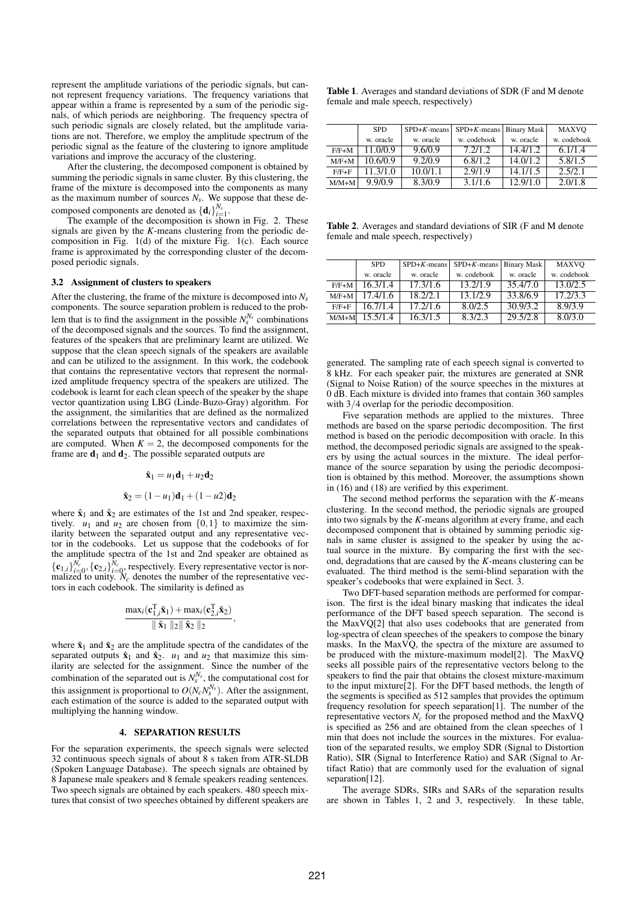represent the amplitude variations of the periodic signals, but cannot represent frequency variations. The frequency variations that appear within a frame is represented by a sum of the periodic signals, of which periods are neighboring. The frequency spectra of such periodic signals are closely related, but the amplitude variations are not. Therefore, we employ the amplitude spectrum of the periodic signal as the feature of the clustering to ignore amplitude variations and improve the accuracy of the clustering.

After the clustering, the decomposed component is obtained by summing the periodic signals in same cluster. By this clustering, the frame of the mixture is decomposed into the components as many as the maximum number of sources  $N_s$ . We suppose that these decomposed components are denoted as  ${\{\mathbf{d}_i\}}_{i=1}^{N_s}$ .

The example of the decomposition is shown in Fig. 2. These signals are given by the *K*-means clustering from the periodic decomposition in Fig. 1(d) of the mixture Fig. 1(c). Each source frame is approximated by the corresponding cluster of the decomposed periodic signals.

#### 3.2 Assignment of clusters to speakers

After the clustering, the frame of the mixture is decomposed into *Ns* components. The source separation problem is reduced to the problem that is to find the assignment in the possible  $N_s^{N_s}$  combinations of the decomposed signals and the sources. To find the assignment, features of the speakers that are preliminary learnt are utilized. We suppose that the clean speech signals of the speakers are available and can be utilized to the assignment. In this work, the codebook that contains the representative vectors that represent the normalized amplitude frequency spectra of the speakers are utilized. The codebook is learnt for each clean speech of the speaker by the shape vector quantization using LBG (Linde-Buzo-Gray) algorithm. For the assignment, the similarities that are defined as the normalized correlations between the representative vectors and candidates of the separated outputs that obtained for all possible combinations are computed. When  $K = 2$ , the decomposed components for the frame are  $\mathbf{d}_1$  and  $\mathbf{d}_2$ . The possible separated outputs are

$$
\hat{\mathbf{x}}_1 = u_1 \mathbf{d}_1 + u_2 \mathbf{d}_2
$$

$$
\hat{\mathbf{x}}_2 = (1 - u_1)\mathbf{d}_1 + (1 - u_2)\mathbf{d}_2
$$

where  $\hat{\mathbf{x}}_1$  and  $\hat{\mathbf{x}}_2$  are estimates of the 1st and 2nd speaker, respectively.  $u_1$  and  $u_2$  are chosen from  $\{0,1\}$  to maximize the similarity between the separated output and any representative vector in the codebooks. Let us suppose that the codebooks of for the amplitude spectra of the 1st and 2nd speaker are obtained as  ${ {\bf c}_{1,i} \}_{i=0}^{N_c}, \{ {\bf c}_{2,i} \}_{i=0}^{N_c},$  respectively. Every representative vector is normalized to unity.  $N_c$  denotes the number of the representative vectors in each codebook. The similarity is defined as

$$
\frac{\max_i(\mathbf{c}_{1,i}^{\mathrm{T}}\tilde{\mathbf{x}}_1) + \max_i(\mathbf{c}_{2,i}^{\mathrm{T}}\tilde{\mathbf{x}}_2)}{\|\tilde{\mathbf{x}}_1\|_2 \|\tilde{\mathbf{x}}_2\|_2},
$$

where  $\tilde{\mathbf{x}}_1$  and  $\tilde{\mathbf{x}}_2$  are the amplitude spectra of the candidates of the separated outputs  $\hat{\mathbf{x}}_1$  and  $\hat{\mathbf{x}}_2$ .  $u_1$  and  $u_2$  that maximize this similarity are selected for the assignment. Since the number of the combination of the separated out is  $N_s^{N_s}$ , the computational cost for this assignment is proportional to  $O(N_c N_s^{N_s})$ . After the assignment, each estimation of the source is added to the separated output with multiplying the hanning window.

#### 4. SEPARATION RESULTS

For the separation experiments, the speech signals were selected 32 continuous speech signals of about 8 s taken from ATR-SLDB (Spoken Language Database). The speech signals are obtained by 8 Japanese male speakers and 8 female speakers reading sentences. Two speech signals are obtained by each speakers. 480 speech mixtures that consist of two speeches obtained by different speakers are

Table 1. Averages and standard deviations of SDR (F and M denote female and male speech, respectively)

|           | <b>SPD</b> | $SPD+K$ -means | $SPD+K$ -means   Binary Mask |           | <b>MAXVO</b> |
|-----------|------------|----------------|------------------------------|-----------|--------------|
|           | w. oracle  | w. oracle      | w. codebook                  | w. oracle | w. codebook  |
| $F/F+M$   | 11.0/0.9   | 9.6/0.9        | 7.2/1.2                      | 14.4/1.2  | 6.1/1.4      |
| $M/F+M$   | 10.6/0.9   | 9.2/0.9        | 6.8/1.2                      | 14.0/1.2  | 5.8/1.5      |
| $F/F + F$ | 11.3/1.0   | 10.0/1.1       | 2.9/1.9                      | 14.1/1.5  | 2.5/2.1      |
| $M/M+M$   | 9.9/0.9    | 8.3/0.9        | 3.1/1.6                      | 12.9/1.0  | 2.0/1.8      |

Table 2. Averages and standard deviations of SIR (F and M denote female and male speech, respectively)

|           | <b>SPD</b> | $SPD+K-means$ | $SPD+K$ -means Binary Mask |           | <b>MAXVO</b> |
|-----------|------------|---------------|----------------------------|-----------|--------------|
|           | w. oracle  | w. oracle     | w. codebook                | w. oracle | w. codebook  |
| $F/F+M$   | 16.3/1.4   | 17.3/1.6      | 13.2/1.9                   | 35.4/7.0  | 13.0/2.5     |
| $M/F+M$   | 17.4/1.6   | 18.2/2.1      | 13.1/2.9                   | 33.8/6.9  | 17.2/3.3     |
| $F/F + F$ | 16.7/1.4   | 17.2/1.6      | 8.0/2.5                    | 30.9/3.2  | 8.9/3.9      |
| $M/M+M$   | 15.5/1.4   | 16.3/1.5      | 8.3/2.3                    | 29.5/2.8  | 8.0/3.0      |

generated. The sampling rate of each speech signal is converted to 8 kHz. For each speaker pair, the mixtures are generated at SNR (Signal to Noise Ration) of the source speeches in the mixtures at 0 dB. Each mixture is divided into frames that contain 360 samples with  $3/4$  overlap for the periodic decomposition.

Five separation methods are applied to the mixtures. Three methods are based on the sparse periodic decomposition. The first method is based on the periodic decomposition with oracle. In this method, the decomposed periodic signals are assigned to the speakers by using the actual sources in the mixture. The ideal performance of the source separation by using the periodic decomposition is obtained by this method. Moreover, the assumptions shown in (16) and (18) are verified by this experiment.

The second method performs the separation with the *K*-means clustering. In the second method, the periodic signals are grouped into two signals by the *K*-means algorithm at every frame, and each decomposed component that is obtained by summing periodic signals in same cluster is assigned to the speaker by using the actual source in the mixture. By comparing the first with the second, degradations that are caused by the *K*-means clustering can be evaluated. The third method is the semi-blind separation with the speaker's codebooks that were explained in Sect. 3.

Two DFT-based separation methods are performed for comparison. The first is the ideal binary masking that indicates the ideal performance of the DFT based speech separation. The second is the MaxVQ[2] that also uses codebooks that are generated from log-spectra of clean speeches of the speakers to compose the binary masks. In the MaxVQ, the spectra of the mixture are assumed to be produced with the mixture-maximum model[2]. The MaxVQ seeks all possible pairs of the representative vectors belong to the speakers to find the pair that obtains the closest mixture-maximum to the input mixture[2]. For the DFT based methods, the length of the segments is specified as 512 samples that provides the optimum frequency resolution for speech separation[1]. The number of the representative vectors  $N_c$  for the proposed method and the MaxVQ is specified as 256 and are obtained from the clean speeches of 1 min that does not include the sources in the mixtures. For evaluation of the separated results, we employ SDR (Signal to Distortion Ratio), SIR (Signal to Interference Ratio) and SAR (Signal to Artifact Ratio) that are commonly used for the evaluation of signal separation[12].

The average SDRs, SIRs and SARs of the separation results are shown in Tables 1, 2 and 3, respectively. In these table,